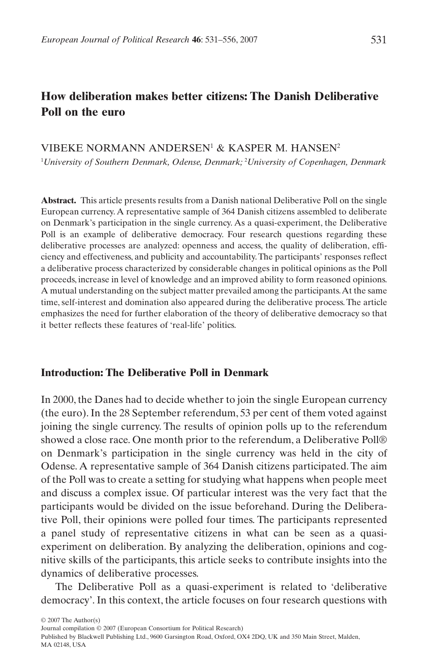# **How deliberation makes better citizens: The Danish Deliberative Poll on the euro**

## VIBEKE NORMANN ANDERSEN<sup>1</sup> & KASPER M. HANSEN<sup>2</sup>

1 *University of Southern Denmark, Odense, Denmark;* <sup>2</sup> *University of Copenhagen, Denmark*

**Abstract.** This article presents results from a Danish national Deliberative Poll on the single European currency. A representative sample of 364 Danish citizens assembled to deliberate on Denmark's participation in the single currency. As a quasi-experiment, the Deliberative Poll is an example of deliberative democracy. Four research questions regarding these deliberative processes are analyzed: openness and access, the quality of deliberation, efficiency and effectiveness, and publicity and accountability. The participants' responses reflect a deliberative process characterized by considerable changes in political opinions as the Poll proceeds, increase in level of knowledge and an improved ability to form reasoned opinions. A mutual understanding on the subject matter prevailed among the participants.At the same time, self-interest and domination also appeared during the deliberative process. The article emphasizes the need for further elaboration of the theory of deliberative democracy so that it better reflects these features of 'real-life' politics.

## **Introduction: The Deliberative Poll in Denmark**

In 2000, the Danes had to decide whether to join the single European currency (the euro). In the 28 September referendum, 53 per cent of them voted against joining the single currency. The results of opinion polls up to the referendum showed a close race. One month prior to the referendum, a Deliberative Poll® on Denmark's participation in the single currency was held in the city of Odense. A representative sample of 364 Danish citizens participated. The aim of the Poll was to create a setting for studying what happens when people meet and discuss a complex issue. Of particular interest was the very fact that the participants would be divided on the issue beforehand. During the Deliberative Poll, their opinions were polled four times. The participants represented a panel study of representative citizens in what can be seen as a quasiexperiment on deliberation. By analyzing the deliberation, opinions and cognitive skills of the participants, this article seeks to contribute insights into the dynamics of deliberative processes.

The Deliberative Poll as a quasi-experiment is related to 'deliberative democracy'. In this context, the article focuses on four research questions with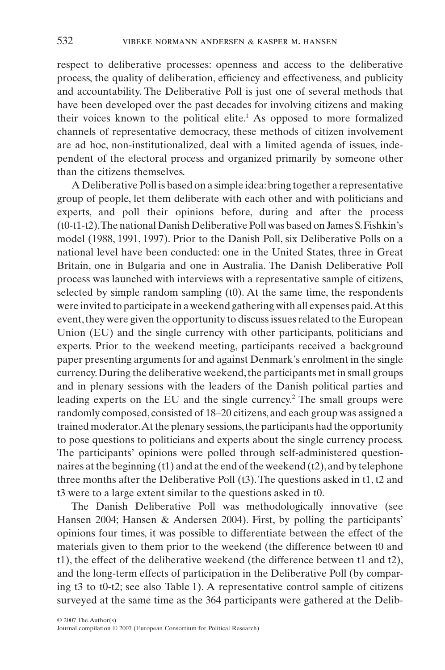respect to deliberative processes: openness and access to the deliberative process, the quality of deliberation, efficiency and effectiveness, and publicity and accountability. The Deliberative Poll is just one of several methods that have been developed over the past decades for involving citizens and making their voices known to the political elite.<sup>1</sup> As opposed to more formalized channels of representative democracy, these methods of citizen involvement are ad hoc, non-institutionalized, deal with a limited agenda of issues, independent of the electoral process and organized primarily by someone other than the citizens themselves.

A Deliberative Poll is based on a simple idea:bring together a representative group of people, let them deliberate with each other and with politicians and experts, and poll their opinions before, during and after the process (t0-t1-t2).The national Danish Deliberative Poll was based on James S.Fishkin's model (1988, 1991, 1997). Prior to the Danish Poll, six Deliberative Polls on a national level have been conducted: one in the United States, three in Great Britain, one in Bulgaria and one in Australia. The Danish Deliberative Poll process was launched with interviews with a representative sample of citizens, selected by simple random sampling (t0). At the same time, the respondents were invited to participate in a weekend gathering with all expenses paid.At this event, they were given the opportunity to discuss issues related to the European Union (EU) and the single currency with other participants, politicians and experts. Prior to the weekend meeting, participants received a background paper presenting arguments for and against Denmark's enrolment in the single currency. During the deliberative weekend, the participants met in small groups and in plenary sessions with the leaders of the Danish political parties and leading experts on the EU and the single currency.<sup>2</sup> The small groups were randomly composed, consisted of 18–20 citizens, and each group was assigned a trained moderator.At the plenary sessions,the participants had the opportunity to pose questions to politicians and experts about the single currency process. The participants' opinions were polled through self-administered questionnaires at the beginning  $(t1)$  and at the end of the weekend  $(t2)$ , and by telephone three months after the Deliberative Poll (t3). The questions asked in t1, t2 and t3 were to a large extent similar to the questions asked in t0.

The Danish Deliberative Poll was methodologically innovative (see Hansen 2004; Hansen & Andersen 2004). First, by polling the participants' opinions four times, it was possible to differentiate between the effect of the materials given to them prior to the weekend (the difference between t0 and t1), the effect of the deliberative weekend (the difference between t1 and t2), and the long-term effects of participation in the Deliberative Poll (by comparing t3 to t0-t2; see also Table 1). A representative control sample of citizens surveyed at the same time as the 364 participants were gathered at the Delib-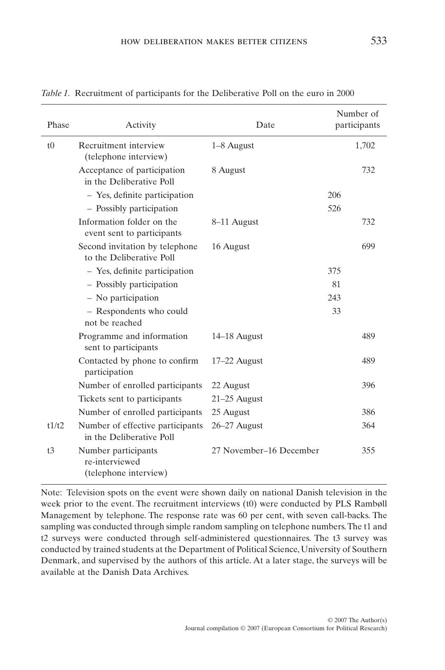| Phase | Activity                                                       | Date                    |     | Number of<br>participants |
|-------|----------------------------------------------------------------|-------------------------|-----|---------------------------|
| t()   | Recruitment interview<br>(telephone interview)                 | $1-8$ August            |     | 1,702                     |
|       | Acceptance of participation<br>in the Deliberative Poll        | 8 August                |     | 732                       |
|       | - Yes, definite participation                                  |                         | 206 |                           |
|       | - Possibly participation                                       |                         | 526 |                           |
|       | Information folder on the<br>event sent to participants        | 8-11 August             |     | 732                       |
|       | Second invitation by telephone<br>to the Deliberative Poll     | 16 August               |     | 699                       |
|       | - Yes, definite participation                                  |                         | 375 |                           |
|       | - Possibly participation                                       |                         | 81  |                           |
|       | - No participation                                             |                         | 243 |                           |
|       | - Respondents who could<br>not be reached                      |                         | 33  |                           |
|       | Programme and information<br>sent to participants              | 14–18 August            |     | 489                       |
|       | Contacted by phone to confirm<br>participation                 | $17-22$ August          |     | 489                       |
|       | Number of enrolled participants                                | 22 August               |     | 396                       |
|       | Tickets sent to participants                                   | 21-25 August            |     |                           |
|       | Number of enrolled participants                                | 25 August               |     | 386                       |
| t1/t2 | Number of effective participants<br>in the Deliberative Poll   | $26 - 27$ August        |     | 364                       |
| t3    | Number participants<br>re-interviewed<br>(telephone interview) | 27 November-16 December |     | 355                       |

*Table 1.* Recruitment of participants for the Deliberative Poll on the euro in 2000

Note: Television spots on the event were shown daily on national Danish television in the week prior to the event. The recruitment interviews (t0) were conducted by PLS Rambøll Management by telephone. The response rate was 60 per cent, with seven call-backs. The sampling was conducted through simple random sampling on telephone numbers.The t1 and t2 surveys were conducted through self-administered questionnaires. The t3 survey was conducted by trained students at the Department of Political Science, University of Southern Denmark, and supervised by the authors of this article. At a later stage, the surveys will be available at the Danish Data Archives.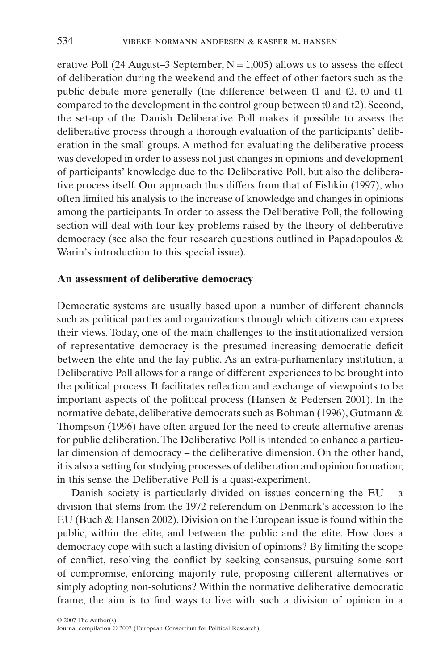erative Poll (24 August–3 September,  $N = 1,005$ ) allows us to assess the effect of deliberation during the weekend and the effect of other factors such as the public debate more generally (the difference between t1 and t2, t0 and t1 compared to the development in the control group between t0 and t2). Second, the set-up of the Danish Deliberative Poll makes it possible to assess the deliberative process through a thorough evaluation of the participants' deliberation in the small groups. A method for evaluating the deliberative process was developed in order to assess not just changes in opinions and development of participants' knowledge due to the Deliberative Poll, but also the deliberative process itself. Our approach thus differs from that of Fishkin (1997), who often limited his analysis to the increase of knowledge and changes in opinions among the participants. In order to assess the Deliberative Poll, the following section will deal with four key problems raised by the theory of deliberative democracy (see also the four research questions outlined in Papadopoulos & Warin's introduction to this special issue).

#### **An assessment of deliberative democracy**

Democratic systems are usually based upon a number of different channels such as political parties and organizations through which citizens can express their views. Today, one of the main challenges to the institutionalized version of representative democracy is the presumed increasing democratic deficit between the elite and the lay public. As an extra-parliamentary institution, a Deliberative Poll allows for a range of different experiences to be brought into the political process. It facilitates reflection and exchange of viewpoints to be important aspects of the political process (Hansen & Pedersen 2001). In the normative debate, deliberative democrats such as Bohman (1996), Gutmann & Thompson (1996) have often argued for the need to create alternative arenas for public deliberation.The Deliberative Poll is intended to enhance a particular dimension of democracy – the deliberative dimension. On the other hand, it is also a setting for studying processes of deliberation and opinion formation; in this sense the Deliberative Poll is a quasi-experiment.

Danish society is particularly divided on issues concerning the  $EU - a$ division that stems from the 1972 referendum on Denmark's accession to the EU (Buch & Hansen 2002). Division on the European issue is found within the public, within the elite, and between the public and the elite. How does a democracy cope with such a lasting division of opinions? By limiting the scope of conflict, resolving the conflict by seeking consensus, pursuing some sort of compromise, enforcing majority rule, proposing different alternatives or simply adopting non-solutions? Within the normative deliberative democratic frame, the aim is to find ways to live with such a division of opinion in a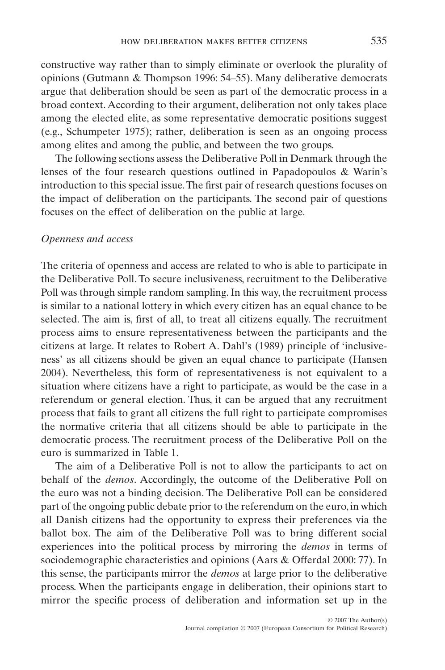constructive way rather than to simply eliminate or overlook the plurality of opinions (Gutmann & Thompson 1996: 54–55). Many deliberative democrats argue that deliberation should be seen as part of the democratic process in a broad context. According to their argument, deliberation not only takes place among the elected elite, as some representative democratic positions suggest (e.g., Schumpeter 1975); rather, deliberation is seen as an ongoing process among elites and among the public, and between the two groups.

The following sections assess the Deliberative Poll in Denmark through the lenses of the four research questions outlined in Papadopoulos & Warin's introduction to this special issue.The first pair of research questions focuses on the impact of deliberation on the participants. The second pair of questions focuses on the effect of deliberation on the public at large.

#### *Openness and access*

The criteria of openness and access are related to who is able to participate in the Deliberative Poll. To secure inclusiveness, recruitment to the Deliberative Poll was through simple random sampling. In this way, the recruitment process is similar to a national lottery in which every citizen has an equal chance to be selected. The aim is, first of all, to treat all citizens equally. The recruitment process aims to ensure representativeness between the participants and the citizens at large. It relates to Robert A. Dahl's (1989) principle of 'inclusiveness' as all citizens should be given an equal chance to participate (Hansen 2004). Nevertheless, this form of representativeness is not equivalent to a situation where citizens have a right to participate, as would be the case in a referendum or general election. Thus, it can be argued that any recruitment process that fails to grant all citizens the full right to participate compromises the normative criteria that all citizens should be able to participate in the democratic process. The recruitment process of the Deliberative Poll on the euro is summarized in Table 1.

The aim of a Deliberative Poll is not to allow the participants to act on behalf of the *demos*. Accordingly, the outcome of the Deliberative Poll on the euro was not a binding decision. The Deliberative Poll can be considered part of the ongoing public debate prior to the referendum on the euro, in which all Danish citizens had the opportunity to express their preferences via the ballot box. The aim of the Deliberative Poll was to bring different social experiences into the political process by mirroring the *demos* in terms of sociodemographic characteristics and opinions (Aars & Offerdal 2000: 77). In this sense, the participants mirror the *demos* at large prior to the deliberative process. When the participants engage in deliberation, their opinions start to mirror the specific process of deliberation and information set up in the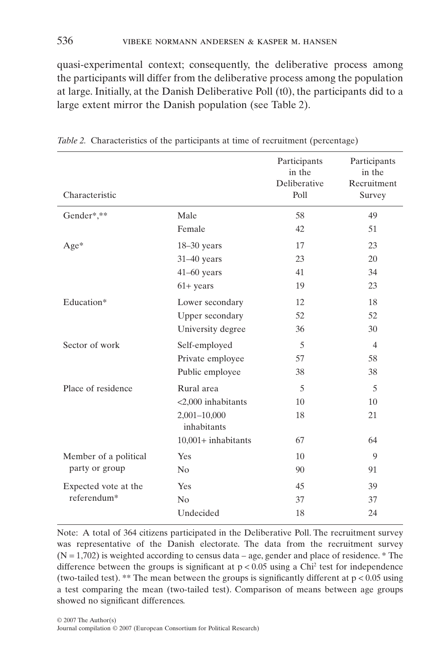quasi-experimental context; consequently, the deliberative process among the participants will differ from the deliberative process among the population at large. Initially, at the Danish Deliberative Poll (t0), the participants did to a large extent mirror the Danish population (see Table 2).

| Characteristic        |                             | Participants<br>in the<br>Deliberative<br>Poll | Participants<br>in the<br>Recruitment<br>Survey |
|-----------------------|-----------------------------|------------------------------------------------|-------------------------------------------------|
| Gender*,**            | Male                        | 58                                             | 49                                              |
|                       | Female                      | 42.                                            | 51                                              |
| Age*                  | $18-30$ years               | 17                                             | 23                                              |
|                       | $31-40$ years               | 23                                             | 20                                              |
|                       | $41-60$ years               | 41                                             | 34                                              |
|                       | $61 + years$                | 19                                             | 23                                              |
| Education*            | Lower secondary             | 12                                             | 18                                              |
|                       | Upper secondary             | 52                                             | 52                                              |
|                       | University degree           | 36                                             | 30                                              |
| Sector of work        | Self-employed               | 5                                              | $\overline{4}$                                  |
|                       | Private employee            | 57                                             | 58                                              |
|                       | Public employee             | 38                                             | 38                                              |
| Place of residence    | Rural area                  | 5                                              | 5                                               |
|                       | $<$ 2,000 inhabitants       | 10                                             | 10                                              |
|                       | 2,001-10,000<br>inhabitants | 18                                             | 21                                              |
|                       | $10,001+$ inhabitants       | 67                                             | 64                                              |
| Member of a political | Yes                         | 10                                             | 9                                               |
| party or group        | No                          | 90                                             | 91                                              |
| Expected vote at the  | Yes                         | 45                                             | 39                                              |
| referendum*           | No                          | 37                                             | 37                                              |
|                       | Undecided                   | 18                                             | 24                                              |

*Table 2.* Characteristics of the participants at time of recruitment (percentage)

Note: A total of 364 citizens participated in the Deliberative Poll. The recruitment survey was representative of the Danish electorate. The data from the recruitment survey  $(N = 1,702)$  is weighted according to census data – age, gender and place of residence. \* The difference between the groups is significant at  $p < 0.05$  using a Chi<sup>2</sup> test for independence (two-tailed test). \*\* The mean between the groups is significantly different at  $p < 0.05$  using a test comparing the mean (two-tailed test). Comparison of means between age groups showed no significant differences.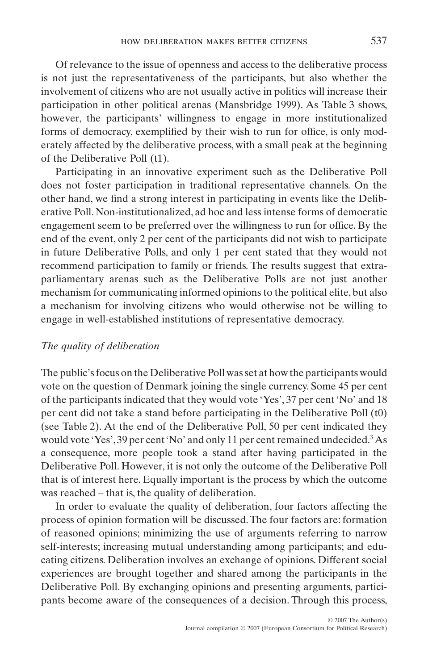Of relevance to the issue of openness and access to the deliberative process is not just the representativeness of the participants, but also whether the involvement of citizens who are not usually active in politics will increase their participation in other political arenas (Mansbridge 1999). As Table 3 shows, however, the participants' willingness to engage in more institutionalized forms of democracy, exemplified by their wish to run for office, is only moderately affected by the deliberative process, with a small peak at the beginning of the Deliberative Poll (t1).

Participating in an innovative experiment such as the Deliberative Poll does not foster participation in traditional representative channels. On the other hand, we find a strong interest in participating in events like the Deliberative Poll. Non-institutionalized, ad hoc and less intense forms of democratic engagement seem to be preferred over the willingness to run for office. By the end of the event, only 2 per cent of the participants did not wish to participate in future Deliberative Polls, and only 1 per cent stated that they would not recommend participation to family or friends. The results suggest that extraparliamentary arenas such as the Deliberative Polls are not just another mechanism for communicating informed opinions to the political elite, but also a mechanism for involving citizens who would otherwise not be willing to engage in well-established institutions of representative democracy.

#### *The quality of deliberation*

The public's focus on the Deliberative Poll was set at how the participants would vote on the question of Denmark joining the single currency. Some 45 per cent of the participants indicated that they would vote 'Yes', 37 per cent 'No' and 18 per cent did not take a stand before participating in the Deliberative Poll (t0) (see Table 2). At the end of the Deliberative Poll, 50 per cent indicated they would vote 'Yes', 39 per cent 'No' and only 11 per cent remained undecided.<sup>3</sup> As a consequence, more people took a stand after having participated in the Deliberative Poll. However, it is not only the outcome of the Deliberative Poll that is of interest here. Equally important is the process by which the outcome was reached – that is, the quality of deliberation.

In order to evaluate the quality of deliberation, four factors affecting the process of opinion formation will be discussed. The four factors are: formation of reasoned opinions; minimizing the use of arguments referring to narrow self-interests; increasing mutual understanding among participants; and educating citizens. Deliberation involves an exchange of opinions. Different social experiences are brought together and shared among the participants in the Deliberative Poll. By exchanging opinions and presenting arguments, participants become aware of the consequences of a decision. Through this process,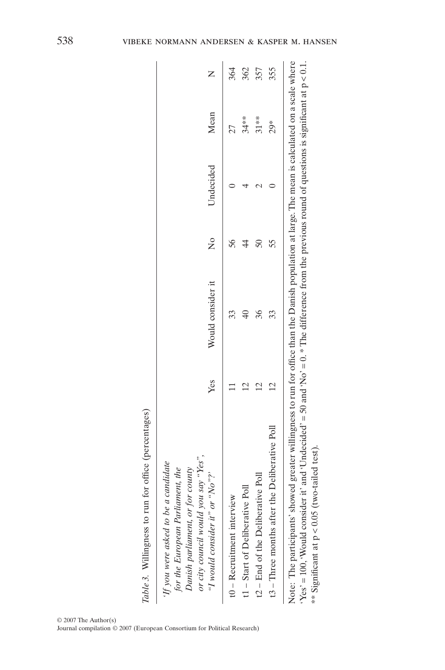| or city council would you say "Yes",<br>'If you were asked to be a candidate<br>for the European Parliament, the<br>Danish parliament, or for county                                                                                                                                                       |     |                   |                |           |        |     |
|------------------------------------------------------------------------------------------------------------------------------------------------------------------------------------------------------------------------------------------------------------------------------------------------------------|-----|-------------------|----------------|-----------|--------|-----|
| "I would consider it" or " $No$ "?"                                                                                                                                                                                                                                                                        | Yes | Would consider it | $\overline{a}$ | Undecided | Mean   |     |
| $t0$ – Recruitment interview                                                                                                                                                                                                                                                                               |     | 33                | 56             |           | 27     | 364 |
| t1 - Start of Deliberative Poll                                                                                                                                                                                                                                                                            |     | $\Theta$          |                |           | 34**   | 362 |
| t2 - End of the Deliberative Poll                                                                                                                                                                                                                                                                          |     | 36                |                |           | $31**$ | 357 |
| t3 - Three months after the Deliberative Poll                                                                                                                                                                                                                                                              |     | 33                | 55             |           | $29*$  | 355 |
| $Yes' = 100$ , 'Would consider it' and 'Undecided' = 50 and 'No' = 0.* The difference from the previous round of questions is significant at p < 0.1.<br>Note: The participants' showed greater willingness to run for office than the Danish population at large. The mean is calculated on a scale where |     |                   |                |           |        |     |
| ** Significant at $p < 0.05$ (two-tailed test).                                                                                                                                                                                                                                                            |     |                   |                |           |        |     |

Table 3. Willingness to run for office (percentages) *Table 3.* Willingness to run for office (percentages)

© 2007 The Author(s) Journal compilation © 2007 (European Consortium for Political Research)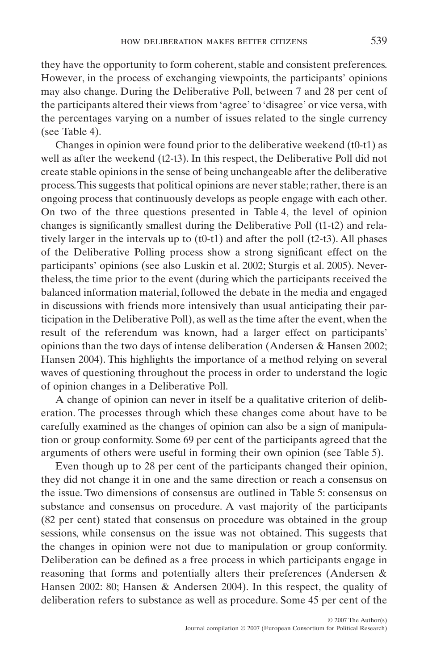they have the opportunity to form coherent, stable and consistent preferences. However, in the process of exchanging viewpoints, the participants' opinions may also change. During the Deliberative Poll, between 7 and 28 per cent of the participants altered their views from 'agree' to 'disagree' or vice versa, with the percentages varying on a number of issues related to the single currency (see Table 4).

Changes in opinion were found prior to the deliberative weekend (t0-t1) as well as after the weekend (t2-t3). In this respect, the Deliberative Poll did not create stable opinions in the sense of being unchangeable after the deliberative process.This suggests that political opinions are never stable; rather, there is an ongoing process that continuously develops as people engage with each other. On two of the three questions presented in Table 4, the level of opinion changes is significantly smallest during the Deliberative Poll (t1-t2) and relatively larger in the intervals up to (t0-t1) and after the poll (t2-t3). All phases of the Deliberative Polling process show a strong significant effect on the participants' opinions (see also Luskin et al. 2002; Sturgis et al. 2005). Nevertheless, the time prior to the event (during which the participants received the balanced information material, followed the debate in the media and engaged in discussions with friends more intensively than usual anticipating their participation in the Deliberative Poll), as well as the time after the event, when the result of the referendum was known, had a larger effect on participants' opinions than the two days of intense deliberation (Andersen & Hansen 2002; Hansen 2004). This highlights the importance of a method relying on several waves of questioning throughout the process in order to understand the logic of opinion changes in a Deliberative Poll.

A change of opinion can never in itself be a qualitative criterion of deliberation. The processes through which these changes come about have to be carefully examined as the changes of opinion can also be a sign of manipulation or group conformity. Some 69 per cent of the participants agreed that the arguments of others were useful in forming their own opinion (see Table 5).

Even though up to 28 per cent of the participants changed their opinion, they did not change it in one and the same direction or reach a consensus on the issue. Two dimensions of consensus are outlined in Table 5: consensus on substance and consensus on procedure. A vast majority of the participants (82 per cent) stated that consensus on procedure was obtained in the group sessions, while consensus on the issue was not obtained. This suggests that the changes in opinion were not due to manipulation or group conformity. Deliberation can be defined as a free process in which participants engage in reasoning that forms and potentially alters their preferences (Andersen & Hansen 2002: 80; Hansen & Andersen 2004). In this respect, the quality of deliberation refers to substance as well as procedure. Some 45 per cent of the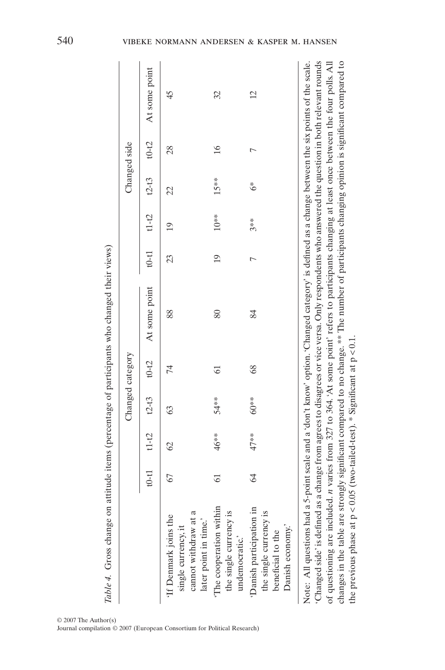| ì<br>i                                               |
|------------------------------------------------------|
| $-1.1$                                               |
|                                                      |
|                                                      |
| りり<br>$\mathfrak{g}$<br>J<br>i<br>$\frac{1}{2}$<br>١ |
|                                                      |
| l<br>j<br>i<br>l<br>j                                |
|                                                      |
| i<br>S<br>J<br>i<br>wa ni katika cama<br>I<br>ł,     |
|                                                      |
| i                                                    |
|                                                      |
| くうしょう<br>i<br>í<br>l                                 |
|                                                      |
| $A$ hono $\alpha$ ono $A$<br>)<br>]<br>J<br>þ        |
| ्<br>ś<br>i<br>ł<br>ı<br>l                           |
| ₹<br>İ<br>ł<br>ū<br>j<br>ł<br>I<br>í                 |

|                                                                                                                                                                                                                                                                                                                                                                                                                                                          |                |               |                     | Changed category |               |                |                |                 | Changed side    |                |
|----------------------------------------------------------------------------------------------------------------------------------------------------------------------------------------------------------------------------------------------------------------------------------------------------------------------------------------------------------------------------------------------------------------------------------------------------------|----------------|---------------|---------------------|------------------|---------------|----------------|----------------|-----------------|-----------------|----------------|
|                                                                                                                                                                                                                                                                                                                                                                                                                                                          | $10 - 11$      |               | $t1 - t2$ $t2 - t3$ | $t0-t2$          | At some point | $t0-t1$        |                | $11-12$ $12-13$ | $10 - 12$       | At some point  |
| cannot withdraw at a<br>If Denmark joins the<br>later point in time.'<br>single currency, it                                                                                                                                                                                                                                                                                                                                                             | 67             | $\mathcal{O}$ | 63                  | 74               | 88            | 23             | $\overline{1}$ | 22              | 28              | 45             |
| The cooperation within<br>the single currency is<br>undemocratic.'                                                                                                                                                                                                                                                                                                                                                                                       | $\overline{6}$ | 46**          | 54**                | $\mathcal{C}$    | 80            | $\overline{1}$ | $10**$         | 15**            | $\overline{16}$ | 32             |
| Danish participation in<br>the single currency is<br>Danish economy.<br>beneficial to the                                                                                                                                                                                                                                                                                                                                                                | $\mathcal{L}$  | 47**          | $60**$              | 68               | 84            | 冖              | $3**$          | $\delta^*$      |                 | $\overline{2}$ |
| Changed side' is defined as a change from agrees to disagrees or vice versa. Only respondents who answered the question in both relevant rounds<br>of questioning are included. n varies from 327 to 364. 'At some point' refers to participants changing at least once between the four polls. All<br>Note: All questions had a 5-point scale and a 'don't know' option. 'Changed category' is defined as a change between the six points of the scale. |                |               |                     |                  |               |                |                |                 |                 |                |

changes in the table are strongly significant compared to no change. \*\* The number of participants changing opinion is significant compared to

changes in the table are strongly significant compared to no change. \*\* The number of participants changing opinion is significant compared to

the previous phase at  $p < 0.05$  (two-tailed-test). \* Significant at  $p < 0.1$ .

the previous phase at  $p < 0.05$  (two-tailed-test). \* Significant at  $p < 0.1$ .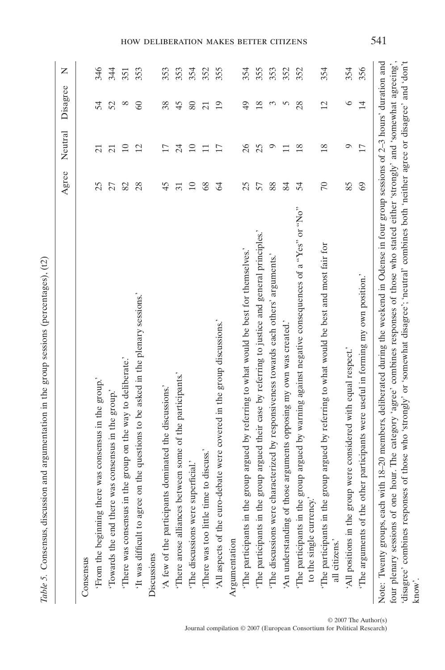|                                                                                                                              | Agree           | Neutral         | Disagree        | z   |
|------------------------------------------------------------------------------------------------------------------------------|-----------------|-----------------|-----------------|-----|
| Consensus                                                                                                                    |                 |                 |                 |     |
| g there was consensus in the group.'<br>From the beginnin                                                                    | 25              | ត               | 54              | 346 |
| Towards the end there was consensus in the group.'                                                                           | 27              | $\overline{c}$  | 52              | 344 |
| us in the group on the way to deliberate.'<br>There was consens                                                              | 82              | $\overline{10}$ | $\infty$        | 351 |
| gree on the questions to be asked in the plenary sessions.'<br>It was difficult to a                                         | 28              | 12              | $\odot$         | 353 |
| Discussions                                                                                                                  |                 |                 |                 |     |
| 'A few of the participants dominated the discussions.'                                                                       | 45              | 17              | 38              | 353 |
| 'There arose alliances between some of the participants.'                                                                    | $\overline{31}$ | 24              | 45              | 353 |
| 'The discussions were superficial.'                                                                                          | $\overline{10}$ | 10              | 80              | 354 |
| There was too little time to discuss.'                                                                                       | 68              | $\Box$          | 21              | 352 |
| 'All aspects of the euro-debate were covered in the group discussions.'                                                      | 64              | 17              | 19              | 355 |
| Argumentation                                                                                                                |                 |                 |                 |     |
| the group argued by referring to what would be best for themselves.'<br>The participants in                                  | 25              | 26              | $\overline{49}$ | 354 |
| the group argued their case by referring to justice and general principles.'<br>The participants in                          | 57              | 25              | 18              | 355 |
| The discussions were characterized by responsiveness towards each others' arguments.'                                        | 88              | っ               | S               | 353 |
| of those arguments opposing my own was created.'<br>'An understanding                                                        | 84              |                 | 5               | 352 |
| The participants in the group argued by warning against negative consequences of a "Yes" or "No"<br>to the single currency.' | 54              | 18              | 28              | 352 |
| The participants in the group argued by referring to what would be best and most fair for<br>all citizens.'                  | 70              | 18              | 12              | 354 |
| group were considered with equal respect.'<br>All positions in the                                                           | 85              | Ō               | $\circ$         | 354 |
| the other participants were useful in forming my own position.'<br>The arguments of                                          | 69              | 17              | $\overline{14}$ | 356 |

> © 2007 The Author(s) Journal compilation © 2007 (European Consortium for Political Research)

how deliberation makes better citizens 541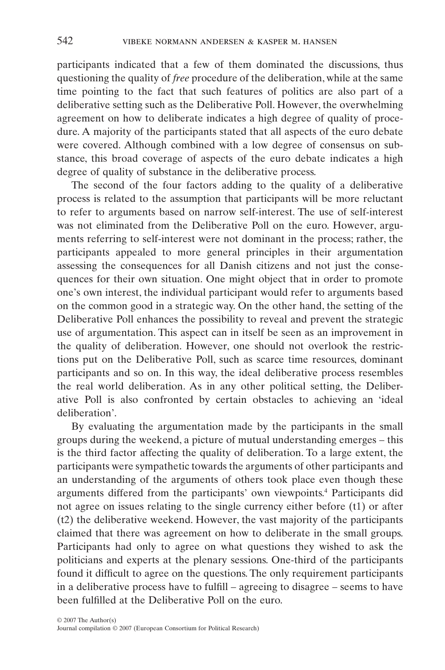participants indicated that a few of them dominated the discussions, thus questioning the quality of *free* procedure of the deliberation, while at the same time pointing to the fact that such features of politics are also part of a deliberative setting such as the Deliberative Poll. However, the overwhelming agreement on how to deliberate indicates a high degree of quality of procedure. A majority of the participants stated that all aspects of the euro debate were covered. Although combined with a low degree of consensus on substance, this broad coverage of aspects of the euro debate indicates a high degree of quality of substance in the deliberative process.

The second of the four factors adding to the quality of a deliberative process is related to the assumption that participants will be more reluctant to refer to arguments based on narrow self-interest. The use of self-interest was not eliminated from the Deliberative Poll on the euro. However, arguments referring to self-interest were not dominant in the process; rather, the participants appealed to more general principles in their argumentation assessing the consequences for all Danish citizens and not just the consequences for their own situation. One might object that in order to promote one's own interest, the individual participant would refer to arguments based on the common good in a strategic way. On the other hand, the setting of the Deliberative Poll enhances the possibility to reveal and prevent the strategic use of argumentation. This aspect can in itself be seen as an improvement in the quality of deliberation. However, one should not overlook the restrictions put on the Deliberative Poll, such as scarce time resources, dominant participants and so on. In this way, the ideal deliberative process resembles the real world deliberation. As in any other political setting, the Deliberative Poll is also confronted by certain obstacles to achieving an 'ideal deliberation'.

By evaluating the argumentation made by the participants in the small groups during the weekend, a picture of mutual understanding emerges – this is the third factor affecting the quality of deliberation. To a large extent, the participants were sympathetic towards the arguments of other participants and an understanding of the arguments of others took place even though these arguments differed from the participants' own viewpoints.4 Participants did not agree on issues relating to the single currency either before (t1) or after (t2) the deliberative weekend. However, the vast majority of the participants claimed that there was agreement on how to deliberate in the small groups. Participants had only to agree on what questions they wished to ask the politicians and experts at the plenary sessions. One-third of the participants found it difficult to agree on the questions. The only requirement participants in a deliberative process have to fulfill – agreeing to disagree – seems to have been fulfilled at the Deliberative Poll on the euro.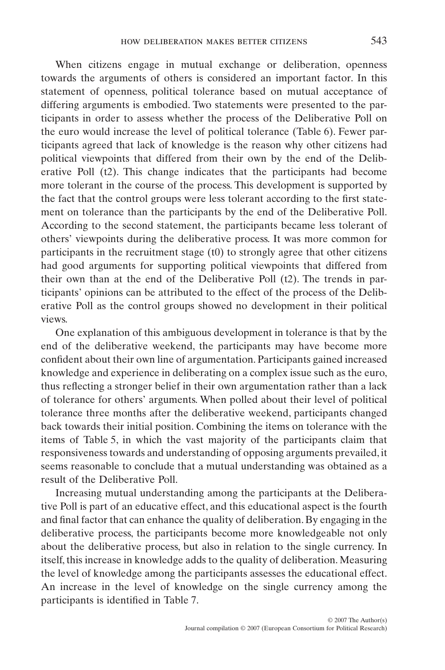When citizens engage in mutual exchange or deliberation, openness towards the arguments of others is considered an important factor. In this statement of openness, political tolerance based on mutual acceptance of differing arguments is embodied. Two statements were presented to the participants in order to assess whether the process of the Deliberative Poll on the euro would increase the level of political tolerance (Table 6). Fewer participants agreed that lack of knowledge is the reason why other citizens had political viewpoints that differed from their own by the end of the Deliberative Poll (t2). This change indicates that the participants had become more tolerant in the course of the process. This development is supported by the fact that the control groups were less tolerant according to the first statement on tolerance than the participants by the end of the Deliberative Poll. According to the second statement, the participants became less tolerant of others' viewpoints during the deliberative process. It was more common for participants in the recruitment stage (t0) to strongly agree that other citizens had good arguments for supporting political viewpoints that differed from their own than at the end of the Deliberative Poll (t2). The trends in participants' opinions can be attributed to the effect of the process of the Deliberative Poll as the control groups showed no development in their political views.

One explanation of this ambiguous development in tolerance is that by the end of the deliberative weekend, the participants may have become more confident about their own line of argumentation. Participants gained increased knowledge and experience in deliberating on a complex issue such as the euro, thus reflecting a stronger belief in their own argumentation rather than a lack of tolerance for others' arguments. When polled about their level of political tolerance three months after the deliberative weekend, participants changed back towards their initial position. Combining the items on tolerance with the items of Table 5, in which the vast majority of the participants claim that responsiveness towards and understanding of opposing arguments prevailed, it seems reasonable to conclude that a mutual understanding was obtained as a result of the Deliberative Poll.

Increasing mutual understanding among the participants at the Deliberative Poll is part of an educative effect, and this educational aspect is the fourth and final factor that can enhance the quality of deliberation. By engaging in the deliberative process, the participants become more knowledgeable not only about the deliberative process, but also in relation to the single currency. In itself, this increase in knowledge adds to the quality of deliberation. Measuring the level of knowledge among the participants assesses the educational effect. An increase in the level of knowledge on the single currency among the participants is identified in Table 7.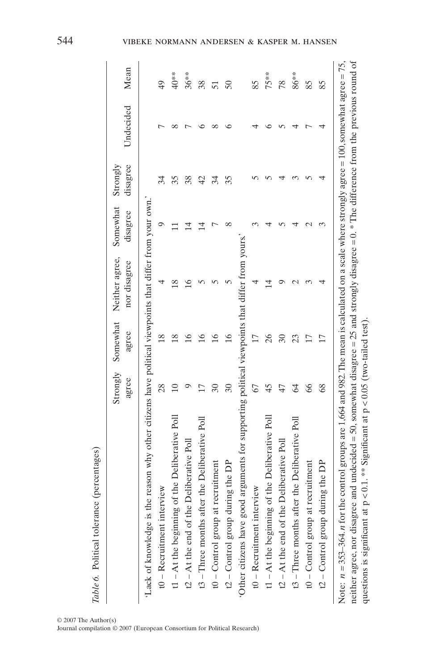|                                                                                                                                                                                                                                                                                                                                                                                                         | Strongly<br>agree | agree          | Somewhat Neither agree,<br>nor disagree | Somewhat Strongly<br>disagree | disagree | Undecided | Mean            |
|---------------------------------------------------------------------------------------------------------------------------------------------------------------------------------------------------------------------------------------------------------------------------------------------------------------------------------------------------------------------------------------------------------|-------------------|----------------|-----------------------------------------|-------------------------------|----------|-----------|-----------------|
| Lack of knowledge is the reason why other citizens have political viewpoints that differ from your own.'                                                                                                                                                                                                                                                                                                |                   |                |                                         |                               |          |           |                 |
| interview<br>$t0$ – Recruitment                                                                                                                                                                                                                                                                                                                                                                         | 28                | $\frac{8}{18}$ |                                         |                               | 34       |           | $\overline{49}$ |
| t1 - At the beginning of the Deliberative Poll                                                                                                                                                                                                                                                                                                                                                          |                   | ∞              | ∞                                       |                               |          |           | 40**            |
| $t2 - At$ the end of the Deliberative Poll                                                                                                                                                                                                                                                                                                                                                              |                   | $\overline{6}$ |                                         |                               | 38       |           | $36**$          |
| t3 - Three months after the Deliberative Poll                                                                                                                                                                                                                                                                                                                                                           |                   | $\overline{6}$ |                                         |                               | 42       |           | 38              |
| t0 - Control group at recruitment                                                                                                                                                                                                                                                                                                                                                                       |                   | $\mathbf{S}$   |                                         |                               | 34       |           |                 |
| $t2$ – Control group during the DP                                                                                                                                                                                                                                                                                                                                                                      |                   |                |                                         |                               | 35       |           | $\overline{50}$ |
| 'Other citizens have good arguments for supporting political viewpoints that differ from yours.'                                                                                                                                                                                                                                                                                                        |                   |                |                                         |                               |          |           |                 |
| interview<br>$t0 - Recruiment$                                                                                                                                                                                                                                                                                                                                                                          | 67                |                |                                         |                               |          |           | 85              |
| t1 - At the beginning of the Deliberative Poll                                                                                                                                                                                                                                                                                                                                                          | 45                | 26             | $\vec{4}$                               |                               |          |           | 75**            |
| $t2 - At$ the end of the Deliberative Poll                                                                                                                                                                                                                                                                                                                                                              |                   |                |                                         |                               |          |           | 78              |
| t3 - Three months after the Deliberative Poll                                                                                                                                                                                                                                                                                                                                                           | $\overline{6}$    | 23             |                                         |                               |          |           | 86**            |
| t0 - Control group at recruitment                                                                                                                                                                                                                                                                                                                                                                       | 66                | ŗ              |                                         |                               |          |           | 85              |
| $t2 -$ Control group during the DP                                                                                                                                                                                                                                                                                                                                                                      | $\frac{8}{3}$     |                |                                         |                               |          |           | 85              |
| neither agree, nor disagree and undecided = 50, somewhat disagree = 25 and strongly disagree = 0. * The difference from the previous round of<br>Note: $n = 353-364$ . <i>n</i> for the control groups are 1,664 and 982. The mean is calculated on a scale where strongly agree = 100, somewhat agree = 75,<br>questions is significant at $p < 0.1$ . ** Significant at $p < 0.05$ (two-tailed test). |                   |                |                                         |                               |          |           |                 |

© 2007 The Author(s) Journal compilation © 2007 (European Consortium for Political Research)

*Table 6.* Political tolerance (percentages)

Table 6. Political tolerance (percentages)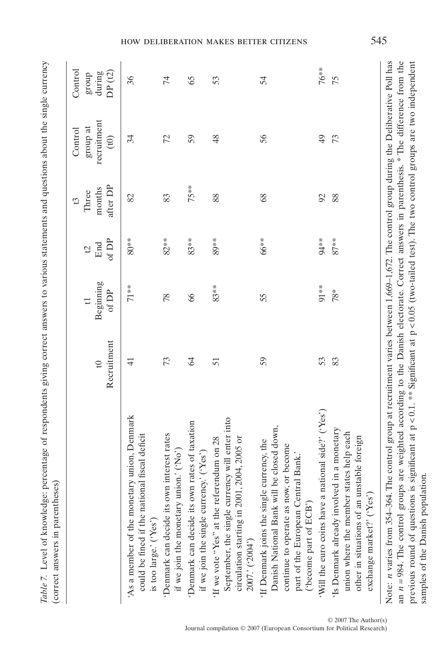| Ë<br>)<br>J<br>ç<br>į<br>$\overline{\phantom{a}}$                        |                                   |
|--------------------------------------------------------------------------|-----------------------------------|
| ていいり<br>$\mathbf{I}$<br>,<br>ì<br>ĭ<br>l                                 |                                   |
| out t<br>ś<br>i                                                          |                                   |
| j                                                                        |                                   |
| j<br>j                                                                   |                                   |
| j                                                                        |                                   |
| j                                                                        |                                   |
| a vario ctatamante and quadrone a<br>)<br>}                              |                                   |
| ï                                                                        |                                   |
| .<br>נ                                                                   |                                   |
|                                                                          |                                   |
| version contract control and contract<br>l<br>J<br>į<br>.<br>.<br>j<br>١ |                                   |
| ١                                                                        |                                   |
| j<br>i<br>i<br>:                                                         |                                   |
| ntana oi<br>)<br>$\frac{1}{2}$<br>J                                      |                                   |
|                                                                          | ì<br>d<br>ì<br>g<br>$\frac{1}{2}$ |
| ė<br>زالا<br>ℷ<br>l<br>wled                                              | å<br>ŗ<br>ren<br>j                |
|                                                                          | ċ                                 |
|                                                                          | i                                 |
|                                                                          |                                   |
|                                                                          |                                   |

|                                                                                                                                                                                                   | Recruitment<br>$\mathfrak{S}$ | Beginning<br>of $DP$<br>$\Box$ | of DP<br>End<br>$\mathcal{D}$ | after DP<br>months<br>Three<br>$\mathfrak{C}$ | recruitment<br>group at<br>Control<br>$\left( \text{10}\right)$ | Control<br>during<br>${\rm DP}\left( t2\right)$<br>dno.fa |
|---------------------------------------------------------------------------------------------------------------------------------------------------------------------------------------------------|-------------------------------|--------------------------------|-------------------------------|-----------------------------------------------|-----------------------------------------------------------------|-----------------------------------------------------------|
| 'As a member of the monetary union, Denmark<br>could be fined if the national fiscal deficit<br>is too large.' ('Yes')                                                                            | $\pm$                         | 71**                           | $80**$                        | 82                                            | 34                                                              | 36                                                        |
| Denmark can decide its own interest rates<br>if we join the monetary union.' ('No')                                                                                                               | 73                            | 78                             | 82**                          | 83                                            | 72                                                              | 74                                                        |
| Denmark can decide its own rates of taxation<br>if we join the single currency.' ('Yes')                                                                                                          | 2                             | 66                             | 83**                          | 75**                                          | 59                                                              | 65                                                        |
| September, the single currency will enter into<br>circulation starting in 2001, 2004, 2005 or<br>2007.' ('2004')<br>'If we vote "Yes" at the referendum on $28\,$                                 | 51                            | 83**                           | 89**                          | 88                                            | 48                                                              | 53                                                        |
| Danish National Bank will be closed down,<br>'If Denmark joins the single currency, the<br>continue to operate as now, or become<br>part of the European Central Bank.'<br>('become part of ECB') | 59                            | 55                             | 66**                          | 68                                            | 56                                                              | 54                                                        |
| 'Will the euro coins have a national side?' ('Yes')                                                                                                                                               | 53                            | 91**                           | 94**                          | 92                                            | 49                                                              | 76**                                                      |
| Is Denmark already involved in a monetary<br>union where the member states help each<br>of an unstable foreign<br>(>'Yes')<br>other in situations<br>exchange market?'                            | 83                            | 78*                            | $87**$                        | 88                                            | 73                                                              | 75                                                        |
| Note: n varies from 354-364. The control group at recruitment varies between 1,669-1,672. The control group during the Deliberative Poll has                                                      |                               |                                |                               |                                               |                                                                 |                                                           |

an  $n = 984$ . The control groups are weighted according to the Danish electorate. Correct answers in parenthesis. \* The difference from the previous round of questions is significant at p < 0.1. \*\* Significant at p < 0.05 (two-tailed test). The two control groups are two independent an *n* = 984. The control groups are weighted according to the Danish electorate. Correct answers in parenthesis. \* The difference from the previous round of questions is significant at p < 0.1. \*\* Significant at p < 0.05 (two-tailed test). The two control groups are two independent samples of the Danish population. samples of the Danish population.

## how deliberation makes better citizens 545

© 2007 The Author(s)

Journal compilation © 2007 (European Consortium for Political Research)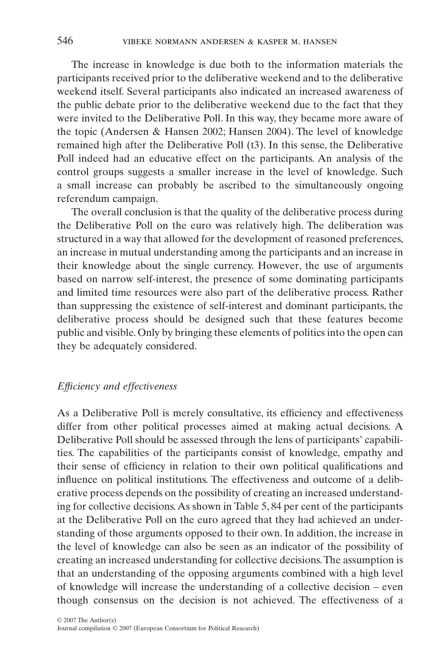The increase in knowledge is due both to the information materials the participants received prior to the deliberative weekend and to the deliberative weekend itself. Several participants also indicated an increased awareness of the public debate prior to the deliberative weekend due to the fact that they were invited to the Deliberative Poll. In this way, they became more aware of the topic (Andersen & Hansen 2002; Hansen 2004). The level of knowledge remained high after the Deliberative Poll (t3). In this sense, the Deliberative Poll indeed had an educative effect on the participants. An analysis of the control groups suggests a smaller increase in the level of knowledge. Such a small increase can probably be ascribed to the simultaneously ongoing referendum campaign.

The overall conclusion is that the quality of the deliberative process during the Deliberative Poll on the euro was relatively high. The deliberation was structured in a way that allowed for the development of reasoned preferences, an increase in mutual understanding among the participants and an increase in their knowledge about the single currency. However, the use of arguments based on narrow self-interest, the presence of some dominating participants and limited time resources were also part of the deliberative process. Rather than suppressing the existence of self-interest and dominant participants, the deliberative process should be designed such that these features become public and visible. Only by bringing these elements of politics into the open can they be adequately considered.

#### *Efficiency and effectiveness*

As a Deliberative Poll is merely consultative, its efficiency and effectiveness differ from other political processes aimed at making actual decisions. A Deliberative Poll should be assessed through the lens of participants' capabilities. The capabilities of the participants consist of knowledge, empathy and their sense of efficiency in relation to their own political qualifications and influence on political institutions. The effectiveness and outcome of a deliberative process depends on the possibility of creating an increased understanding for collective decisions.As shown in Table 5, 84 per cent of the participants at the Deliberative Poll on the euro agreed that they had achieved an understanding of those arguments opposed to their own. In addition, the increase in the level of knowledge can also be seen as an indicator of the possibility of creating an increased understanding for collective decisions.The assumption is that an understanding of the opposing arguments combined with a high level of knowledge will increase the understanding of a collective decision – even though consensus on the decision is not achieved. The effectiveness of a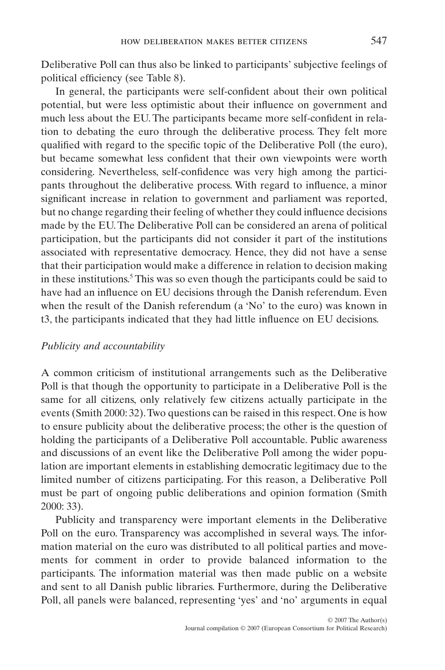Deliberative Poll can thus also be linked to participants' subjective feelings of political efficiency (see Table 8).

In general, the participants were self-confident about their own political potential, but were less optimistic about their influence on government and much less about the EU. The participants became more self-confident in relation to debating the euro through the deliberative process. They felt more qualified with regard to the specific topic of the Deliberative Poll (the euro), but became somewhat less confident that their own viewpoints were worth considering. Nevertheless, self-confidence was very high among the participants throughout the deliberative process. With regard to influence, a minor significant increase in relation to government and parliament was reported, but no change regarding their feeling of whether they could influence decisions made by the EU. The Deliberative Poll can be considered an arena of political participation, but the participants did not consider it part of the institutions associated with representative democracy. Hence, they did not have a sense that their participation would make a difference in relation to decision making in these institutions.<sup>5</sup> This was so even though the participants could be said to have had an influence on EU decisions through the Danish referendum. Even when the result of the Danish referendum (a 'No' to the euro) was known in t3, the participants indicated that they had little influence on EU decisions.

#### *Publicity and accountability*

A common criticism of institutional arrangements such as the Deliberative Poll is that though the opportunity to participate in a Deliberative Poll is the same for all citizens, only relatively few citizens actually participate in the events (Smith 2000: 32).Two questions can be raised in this respect. One is how to ensure publicity about the deliberative process; the other is the question of holding the participants of a Deliberative Poll accountable. Public awareness and discussions of an event like the Deliberative Poll among the wider population are important elements in establishing democratic legitimacy due to the limited number of citizens participating. For this reason, a Deliberative Poll must be part of ongoing public deliberations and opinion formation (Smith 2000: 33).

Publicity and transparency were important elements in the Deliberative Poll on the euro. Transparency was accomplished in several ways. The information material on the euro was distributed to all political parties and movements for comment in order to provide balanced information to the participants. The information material was then made public on a website and sent to all Danish public libraries. Furthermore, during the Deliberative Poll, all panels were balanced, representing 'yes' and 'no' arguments in equal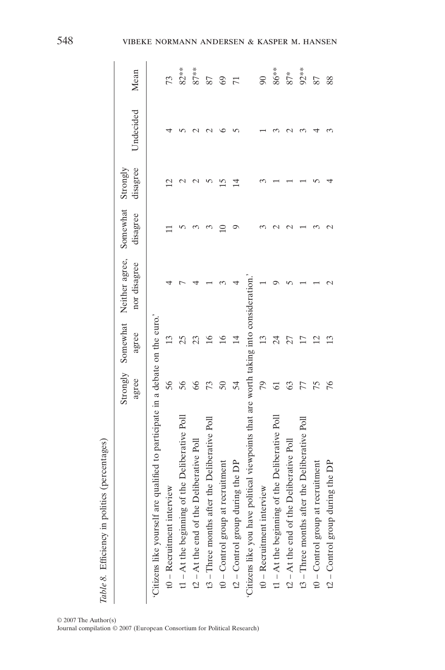|                                                                                       | agree | agree           | Strongly Somewhat Neither agree,<br>nor disagree | Somewhat Strongly<br>disagree | disagree        | Undecided | Mean           |
|---------------------------------------------------------------------------------------|-------|-----------------|--------------------------------------------------|-------------------------------|-----------------|-----------|----------------|
| Citizens like yourself are qualified to participate in a debate on the euro.'         |       |                 |                                                  |                               |                 |           |                |
| $t0$ – Recruitment interview                                                          | 56    |                 |                                                  |                               |                 |           | 73             |
| t1 - At the beginning of the Deliberative Poll                                        | 56    |                 |                                                  |                               |                 |           | 82**           |
| $t2 - At$ the end of the Deliberative Poll                                            | 66    |                 |                                                  |                               |                 |           | 87**           |
| t3 - Three months after the Deliberative Poll                                         | 73    |                 |                                                  |                               |                 |           | 87             |
| t0 - Control group at recruitment                                                     |       | $\overline{16}$ |                                                  |                               | $15 \,$         |           | 69             |
| $t2 -$ Control group during the DP                                                    | 54    |                 |                                                  |                               | $\overline{14}$ |           |                |
| Citizens like you have political viewpoints that are worth taking into consideration. |       |                 |                                                  |                               |                 |           |                |
| $t0$ – Recruitment interview                                                          | 79    | 13              |                                                  |                               |                 |           | $\overline{6}$ |
| t1 - At the beginning of the Deliberative Poll                                        | 61    | 24              |                                                  |                               |                 |           | 86**           |
| $t2 - At$ the end of the Deliberative Poll                                            | 63    |                 |                                                  |                               |                 |           | 87*            |
| t3 - Three months after the Deliberative Poll                                         | 77    |                 |                                                  |                               |                 |           | 92**           |
| t0 - Control group at recruitment                                                     | 75    |                 |                                                  |                               |                 |           | 87             |
| $t2 -$ Control group during the DP                                                    | 76    |                 |                                                  |                               |                 |           | 88             |

© 2007 The Author(s) Journal compilation © 2007 (European Consortium for Political Research)

*Table 8.* Efficiency in politics (percentages)

Table 8. Efficiency in politics (percentages)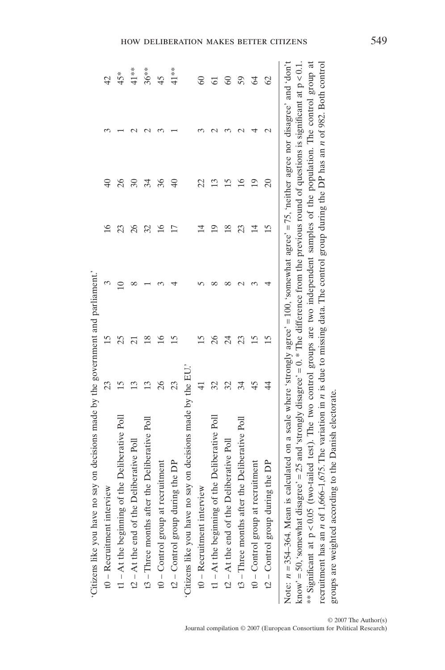| Citizens like you have no say on decisions made by the government and parliament.                                                                                                                                                                                                                                                                                                                                                                                                                                                                                                                                                                                                      |                 |                 |                 |                 |                 |
|----------------------------------------------------------------------------------------------------------------------------------------------------------------------------------------------------------------------------------------------------------------------------------------------------------------------------------------------------------------------------------------------------------------------------------------------------------------------------------------------------------------------------------------------------------------------------------------------------------------------------------------------------------------------------------------|-----------------|-----------------|-----------------|-----------------|-----------------|
| interview<br>$t0 - Recruiment$                                                                                                                                                                                                                                                                                                                                                                                                                                                                                                                                                                                                                                                         | 23              |                 | $\overline{16}$ | $\overline{40}$ | $\overline{42}$ |
| t1 - At the beginning of the Deliberative Poll                                                                                                                                                                                                                                                                                                                                                                                                                                                                                                                                                                                                                                         | 15              | 25              | 23              | 26              | 45*             |
| $t2 - At$ the end of the Deliberative Poll                                                                                                                                                                                                                                                                                                                                                                                                                                                                                                                                                                                                                                             |                 |                 | 26              | 30              | 41**            |
| t3 - Three months after the Deliberative Poll                                                                                                                                                                                                                                                                                                                                                                                                                                                                                                                                                                                                                                          | 13              | $\frac{8}{1}$   | 32              | 34              | $36***$         |
| t0 - Control group at recruitment                                                                                                                                                                                                                                                                                                                                                                                                                                                                                                                                                                                                                                                      | 26              | $\overline{16}$ | $\frac{6}{2}$   | 36              | 45              |
| $t2 -$ Control group during the DP                                                                                                                                                                                                                                                                                                                                                                                                                                                                                                                                                                                                                                                     |                 |                 | $\overline{17}$ |                 | 41**            |
| 'Citizens like you have no say on decisions made by the EU.'                                                                                                                                                                                                                                                                                                                                                                                                                                                                                                                                                                                                                           |                 |                 |                 |                 |                 |
| interview<br>$t0 - Recruiment$                                                                                                                                                                                                                                                                                                                                                                                                                                                                                                                                                                                                                                                         | $\overline{41}$ |                 | 4               | 22              | $\overline{60}$ |
| t1 - At the beginning of the Deliberative Poll                                                                                                                                                                                                                                                                                                                                                                                                                                                                                                                                                                                                                                         | 32              | 26              |                 | 13              |                 |
| $t2 - At$ the end of the Deliberative Poll                                                                                                                                                                                                                                                                                                                                                                                                                                                                                                                                                                                                                                             | 32              | $\overline{24}$ | $\frac{8}{10}$  | 51              | 8               |
| t3 - Three months after the Deliberative Poll                                                                                                                                                                                                                                                                                                                                                                                                                                                                                                                                                                                                                                          | 34              | 23              | 23              | $\overline{16}$ | 59              |
| t0 - Control group at recruitment                                                                                                                                                                                                                                                                                                                                                                                                                                                                                                                                                                                                                                                      | 45              | 15              | $\vec{a}$       | $\overline{0}$  | $\overline{6}$  |
| $t2$ – Control group during the DP                                                                                                                                                                                                                                                                                                                                                                                                                                                                                                                                                                                                                                                     | $\frac{4}{4}$   |                 | 15              |                 |                 |
| know' = 50, 'somewhat disagree' = 25 and 'strongly disagree' = 0. * The difference from the previous round of questions is significant at $p < 0.1$ .<br>** Significant at p < 0.05 (two-tailed test). The two control groups are two independent samples of the population. The control group at<br>recruitment has an <i>n</i> of 1,666-1,675. The variation in <i>n</i> is due to missing data. The control group during the DP has an <i>n</i> of 982. Both control<br>Note: $n = 354-364$ . Mean is calculated on a scale where 'strongly agree' = 100, 'somewhat agree' = 75, 'neither agree nor disagree' and 'don't<br>groups are weighted according to the Danish electorate. |                 |                 |                 |                 |                 |
|                                                                                                                                                                                                                                                                                                                                                                                                                                                                                                                                                                                                                                                                                        |                 |                 |                 |                 |                 |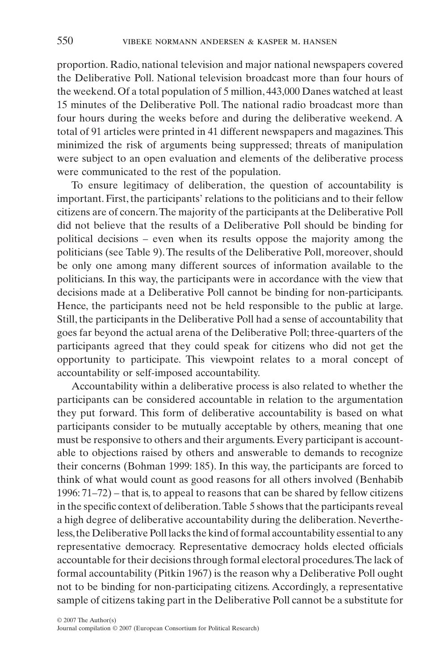proportion. Radio, national television and major national newspapers covered the Deliberative Poll. National television broadcast more than four hours of the weekend. Of a total population of 5 million, 443,000 Danes watched at least 15 minutes of the Deliberative Poll. The national radio broadcast more than four hours during the weeks before and during the deliberative weekend. A total of 91 articles were printed in 41 different newspapers and magazines.This minimized the risk of arguments being suppressed; threats of manipulation were subject to an open evaluation and elements of the deliberative process were communicated to the rest of the population.

To ensure legitimacy of deliberation, the question of accountability is important. First, the participants' relations to the politicians and to their fellow citizens are of concern.The majority of the participants at the Deliberative Poll did not believe that the results of a Deliberative Poll should be binding for political decisions – even when its results oppose the majority among the politicians (see Table 9).The results of the Deliberative Poll, moreover, should be only one among many different sources of information available to the politicians. In this way, the participants were in accordance with the view that decisions made at a Deliberative Poll cannot be binding for non-participants. Hence, the participants need not be held responsible to the public at large. Still, the participants in the Deliberative Poll had a sense of accountability that goes far beyond the actual arena of the Deliberative Poll; three-quarters of the participants agreed that they could speak for citizens who did not get the opportunity to participate. This viewpoint relates to a moral concept of accountability or self-imposed accountability.

Accountability within a deliberative process is also related to whether the participants can be considered accountable in relation to the argumentation they put forward. This form of deliberative accountability is based on what participants consider to be mutually acceptable by others, meaning that one must be responsive to others and their arguments. Every participant is accountable to objections raised by others and answerable to demands to recognize their concerns (Bohman 1999: 185). In this way, the participants are forced to think of what would count as good reasons for all others involved (Benhabib 1996: 71–72) – that is, to appeal to reasons that can be shared by fellow citizens in the specific context of deliberation. Table 5 shows that the participants reveal a high degree of deliberative accountability during the deliberation. Nevertheless,the Deliberative Poll lacks the kind of formal accountability essential to any representative democracy. Representative democracy holds elected officials accountable for their decisions through formal electoral procedures.The lack of formal accountability (Pitkin 1967) is the reason why a Deliberative Poll ought not to be binding for non-participating citizens. Accordingly, a representative sample of citizens taking part in the Deliberative Poll cannot be a substitute for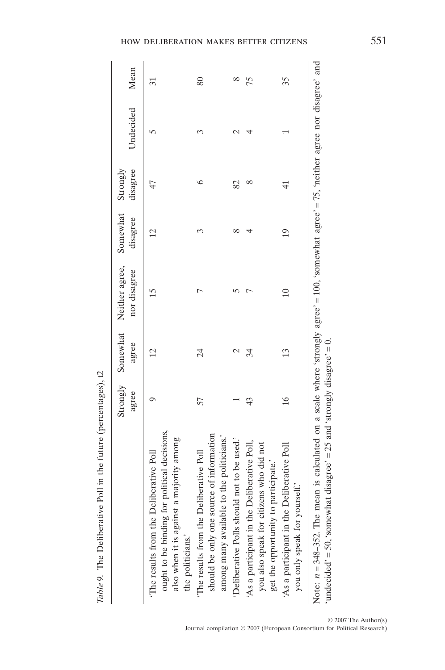| I<br>ļ<br>ì<br>i<br>l<br>I<br>¢<br>ļ<br>$\ddot{\phantom{a}}$<br>İ |
|-------------------------------------------------------------------|
| j<br>ı<br>í<br>þ<br>ļ<br>ĺ                                        |
| $\overline{\phantom{a}}$<br>l<br>٠                                |
| ı                                                                 |
| i                                                                 |
|                                                                   |

|                                                                                                                                                                                                                          | agree           | agree           | Strongly Somewhat Neither agree,<br>nor disagree | Somewhat Strongly<br>disagree | disagree | Undecided | Mean |
|--------------------------------------------------------------------------------------------------------------------------------------------------------------------------------------------------------------------------|-----------------|-----------------|--------------------------------------------------|-------------------------------|----------|-----------|------|
| ought to be binding for political decisions,<br>also when it is against a majority among<br>The results from the Deliberative Poll<br>the politicians.'                                                                  |                 | $\overline{2}$  |                                                  | $\mathfrak{c}_1$              |          |           | 31   |
| should be only one source of information<br>among many available to the politicians.'<br>The results from the Deliberative Poll                                                                                          | 57              | $\overline{24}$ |                                                  |                               |          |           | 80   |
| Deliberative Polls should not to be used.'                                                                                                                                                                               |                 |                 |                                                  | ∝                             | 82       |           | ∞    |
| 'As a participant in the Deliberative Poll,<br>you also speak for citizens who did not<br>get the opportunity to participate.'                                                                                           | 43              | 34              |                                                  |                               |          |           | 75   |
| 'As a participant in the Deliberative Poll<br>you only speak for yourself.'                                                                                                                                              | $\overline{16}$ | 13              |                                                  | $\frac{0}{1}$                 |          |           | 35   |
| Note: $n = 348-352$ . The mean is calculated on a scale where 'strongly agree' = 100, 'somewhat agree' = 75, 'neither agree nor disagree' and<br>"undecided" = 50, 'somewhat disagree' = 25 and 'strongly disagree' = 0. |                 |                 |                                                  |                               |          |           |      |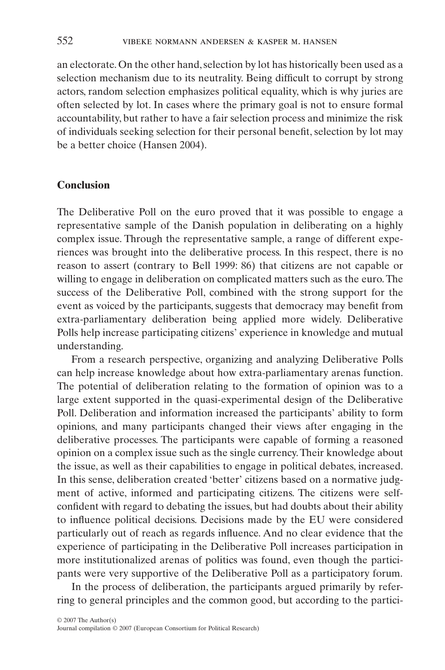an electorate. On the other hand, selection by lot has historically been used as a selection mechanism due to its neutrality. Being difficult to corrupt by strong actors, random selection emphasizes political equality, which is why juries are often selected by lot. In cases where the primary goal is not to ensure formal accountability, but rather to have a fair selection process and minimize the risk of individuals seeking selection for their personal benefit, selection by lot may be a better choice (Hansen 2004).

#### **Conclusion**

The Deliberative Poll on the euro proved that it was possible to engage a representative sample of the Danish population in deliberating on a highly complex issue. Through the representative sample, a range of different experiences was brought into the deliberative process. In this respect, there is no reason to assert (contrary to Bell 1999: 86) that citizens are not capable or willing to engage in deliberation on complicated matters such as the euro. The success of the Deliberative Poll, combined with the strong support for the event as voiced by the participants, suggests that democracy may benefit from extra-parliamentary deliberation being applied more widely. Deliberative Polls help increase participating citizens' experience in knowledge and mutual understanding.

From a research perspective, organizing and analyzing Deliberative Polls can help increase knowledge about how extra-parliamentary arenas function. The potential of deliberation relating to the formation of opinion was to a large extent supported in the quasi-experimental design of the Deliberative Poll. Deliberation and information increased the participants' ability to form opinions, and many participants changed their views after engaging in the deliberative processes. The participants were capable of forming a reasoned opinion on a complex issue such as the single currency.Their knowledge about the issue, as well as their capabilities to engage in political debates, increased. In this sense, deliberation created 'better' citizens based on a normative judgment of active, informed and participating citizens. The citizens were selfconfident with regard to debating the issues, but had doubts about their ability to influence political decisions. Decisions made by the EU were considered particularly out of reach as regards influence. And no clear evidence that the experience of participating in the Deliberative Poll increases participation in more institutionalized arenas of politics was found, even though the participants were very supportive of the Deliberative Poll as a participatory forum.

In the process of deliberation, the participants argued primarily by referring to general principles and the common good, but according to the partici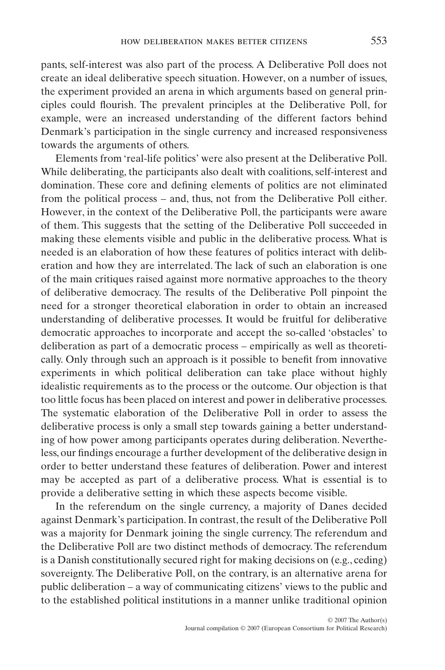pants, self-interest was also part of the process. A Deliberative Poll does not create an ideal deliberative speech situation. However, on a number of issues, the experiment provided an arena in which arguments based on general principles could flourish. The prevalent principles at the Deliberative Poll, for example, were an increased understanding of the different factors behind Denmark's participation in the single currency and increased responsiveness towards the arguments of others.

Elements from 'real-life politics' were also present at the Deliberative Poll. While deliberating, the participants also dealt with coalitions, self-interest and domination. These core and defining elements of politics are not eliminated from the political process – and, thus, not from the Deliberative Poll either. However, in the context of the Deliberative Poll, the participants were aware of them. This suggests that the setting of the Deliberative Poll succeeded in making these elements visible and public in the deliberative process. What is needed is an elaboration of how these features of politics interact with deliberation and how they are interrelated. The lack of such an elaboration is one of the main critiques raised against more normative approaches to the theory of deliberative democracy. The results of the Deliberative Poll pinpoint the need for a stronger theoretical elaboration in order to obtain an increased understanding of deliberative processes. It would be fruitful for deliberative democratic approaches to incorporate and accept the so-called 'obstacles' to deliberation as part of a democratic process – empirically as well as theoretically. Only through such an approach is it possible to benefit from innovative experiments in which political deliberation can take place without highly idealistic requirements as to the process or the outcome. Our objection is that too little focus has been placed on interest and power in deliberative processes. The systematic elaboration of the Deliberative Poll in order to assess the deliberative process is only a small step towards gaining a better understanding of how power among participants operates during deliberation. Nevertheless, our findings encourage a further development of the deliberative design in order to better understand these features of deliberation. Power and interest may be accepted as part of a deliberative process. What is essential is to provide a deliberative setting in which these aspects become visible.

In the referendum on the single currency, a majority of Danes decided against Denmark's participation. In contrast, the result of the Deliberative Poll was a majority for Denmark joining the single currency. The referendum and the Deliberative Poll are two distinct methods of democracy. The referendum is a Danish constitutionally secured right for making decisions on (e.g., ceding) sovereignty. The Deliberative Poll, on the contrary, is an alternative arena for public deliberation – a way of communicating citizens' views to the public and to the established political institutions in a manner unlike traditional opinion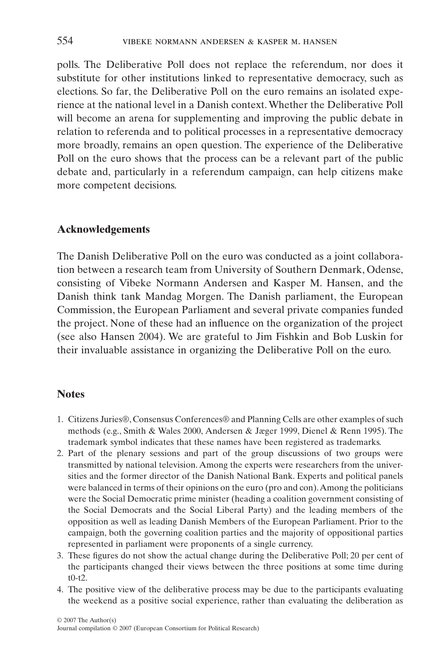polls. The Deliberative Poll does not replace the referendum, nor does it substitute for other institutions linked to representative democracy, such as elections. So far, the Deliberative Poll on the euro remains an isolated experience at the national level in a Danish context. Whether the Deliberative Poll will become an arena for supplementing and improving the public debate in relation to referenda and to political processes in a representative democracy more broadly, remains an open question. The experience of the Deliberative Poll on the euro shows that the process can be a relevant part of the public debate and, particularly in a referendum campaign, can help citizens make more competent decisions.

#### **Acknowledgements**

The Danish Deliberative Poll on the euro was conducted as a joint collaboration between a research team from University of Southern Denmark, Odense, consisting of Vibeke Normann Andersen and Kasper M. Hansen, and the Danish think tank Mandag Morgen. The Danish parliament, the European Commission, the European Parliament and several private companies funded the project. None of these had an influence on the organization of the project (see also Hansen 2004). We are grateful to Jim Fishkin and Bob Luskin for their invaluable assistance in organizing the Deliberative Poll on the euro.

## **Notes**

- 1. Citizens Juries®, Consensus Conferences® and Planning Cells are other examples of such methods (e.g., Smith & Wales 2000, Andersen & Jæger 1999, Dienel & Renn 1995). The trademark symbol indicates that these names have been registered as trademarks.
- 2. Part of the plenary sessions and part of the group discussions of two groups were transmitted by national television. Among the experts were researchers from the universities and the former director of the Danish National Bank. Experts and political panels were balanced in terms of their opinions on the euro (pro and con).Among the politicians were the Social Democratic prime minister (heading a coalition government consisting of the Social Democrats and the Social Liberal Party) and the leading members of the opposition as well as leading Danish Members of the European Parliament. Prior to the campaign, both the governing coalition parties and the majority of oppositional parties represented in parliament were proponents of a single currency.
- 3. These figures do not show the actual change during the Deliberative Poll; 20 per cent of the participants changed their views between the three positions at some time during t0-t2.
- 4. The positive view of the deliberative process may be due to the participants evaluating the weekend as a positive social experience, rather than evaluating the deliberation as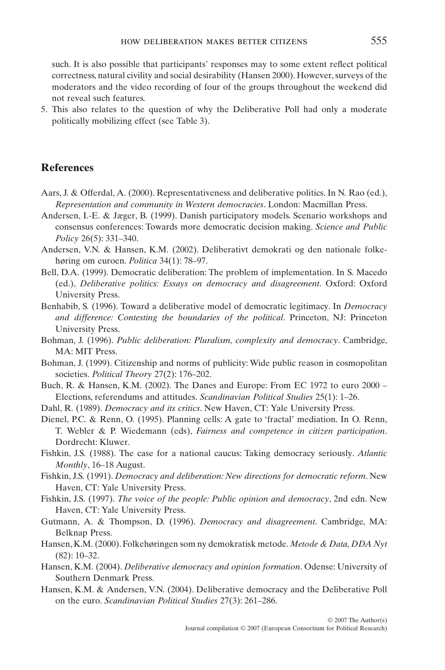such. It is also possible that participants' responses may to some extent reflect political correctness, natural civility and social desirability (Hansen 2000). However, surveys of the moderators and the video recording of four of the groups throughout the weekend did not reveal such features.

5. This also relates to the question of why the Deliberative Poll had only a moderate politically mobilizing effect (see Table 3).

#### **References**

- Aars, J. & Offerdal, A. (2000). Representativeness and deliberative politics. In N. Rao (ed.), *Representation and community in Western democracies*. London: Macmillan Press.
- Andersen, I.-E. & Jæger, B. (1999). Danish participatory models. Scenario workshops and consensus conferences: Towards more democratic decision making. *Science and Public Policy* 26(5): 331–340.
- Andersen, V.N. & Hansen, K.M. (2002). Deliberativt demokrati og den nationale folkehøring om euroen. *Politica* 34(1): 78–97.
- Bell, D.A. (1999). Democratic deliberation: The problem of implementation. In S. Macedo (ed.), *Deliberative politics: Essays on democracy and disagreement*. Oxford: Oxford University Press.
- Benhabib, S. (1996). Toward a deliberative model of democratic legitimacy. In *Democracy and difference: Contesting the boundaries of the political*. Princeton, NJ: Princeton University Press.
- Bohman, J. (1996). *Public deliberation: Pluralism, complexity and democracy*. Cambridge, MA: MIT Press.
- Bohman, J. (1999). Citizenship and norms of publicity: Wide public reason in cosmopolitan societies. *Political Theory* 27(2): 176–202.
- Buch, R. & Hansen, K.M. (2002). The Danes and Europe: From EC 1972 to euro 2000 Elections, referendums and attitudes. *Scandinavian Political Studies* 25(1): 1–26.
- Dahl, R. (1989). *Democracy and its critics*. New Haven, CT: Yale University Press.
- Dienel, P.C. & Renn, O. (1995). Planning cells: A gate to 'fractal' mediation. In O. Renn, T. Webler & P. Wiedemann (eds), *Fairness and competence in citizen participation*. Dordrecht: Kluwer.
- Fishkin, J.S. (1988). The case for a national caucus: Taking democracy seriously. *Atlantic Monthly*, 16–18 August.
- Fishkin, J.S. (1991). *Democracy and deliberation: New directions for democratic reform*. New Haven, CT: Yale University Press.
- Fishkin, J.S. (1997). *The voice of the people: Public opinion and democracy*, 2nd edn. New Haven, CT: Yale University Press.
- Gutmann, A. & Thompson, D. (1996). *Democracy and disagreement*. Cambridge, MA: Belknap Press.
- Hansen, K.M. (2000). Folkehøringen som ny demokratisk metode.*Metode & Data, DDA Nyt* (82): 10–32.
- Hansen, K.M. (2004). *Deliberative democracy and opinion formation*. Odense: University of Southern Denmark Press.
- Hansen, K.M. & Andersen, V.N. (2004). Deliberative democracy and the Deliberative Poll on the euro. *Scandinavian Political Studies* 27(3): 261–286.